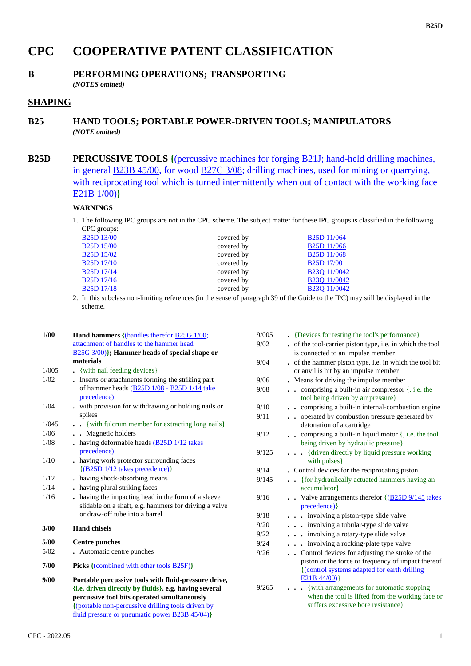# **CPC COOPERATIVE PATENT CLASSIFICATION**

# **B PERFORMING OPERATIONS; TRANSPORTING**

*(NOTES omitted)*

## **SHAPING**

### **B25 HAND TOOLS; PORTABLE POWER-DRIVEN TOOLS; MANIPULATORS** *(NOTE omitted)*

**B25D PERCUSSIVE TOOLS** {(percussive machines for forging **B21J**; hand-held drilling machines, in general B23B 45/00, for wood B27C 3/08; drilling machines, used for mining or quarrying, with reciprocating tool which is turned intermittently when out of contact with the working face E21B 1/00)**}**

### **WARNINGS**

1. The following IPC groups are not in the CPC scheme. The subject matter for these IPC groups is classified in the following CPC groups:

| <b>B25D 13/00</b>                               | covered by | B <sub>25</sub> D <sub>11/064</sub> |
|-------------------------------------------------|------------|-------------------------------------|
| <b>B25D 15/00</b>                               | covered by | B <sub>25</sub> D <sub>11/066</sub> |
| B <sub>25</sub> D <sub>15</sub> /0 <sub>2</sub> | covered by | <b>B25D</b> 11/068                  |
| <b>B25D 17/10</b>                               | covered by | <b>B25D 17/00</b>                   |
| <b>B25D 17/14</b>                               | covered by | B <sub>23</sub> O 11/0042           |
| B <sub>25</sub> D <sub>17</sub> /16             | covered by | B <sub>23</sub> O 11/0042           |
| <b>B25D 17/18</b>                               | covered by | B <sub>23</sub> Q 11/0042           |
|                                                 |            |                                     |

2. In this subclass non-limiting references (in the sense of paragraph 39 of the Guide to the IPC) may still be displayed in the scheme.

| 1/00  | <b>Hand hammers {(handles therefor B25G 1/00;</b>      | 9/00 |
|-------|--------------------------------------------------------|------|
|       | attachment of handles to the hammer head               | 9/02 |
|       | $B25G$ 3/00)}; Hammer heads of special shape or        |      |
|       | materials                                              | 9/04 |
| 1/005 | . {with nail feeding devices}                          |      |
| 1/02  | . Inserts or attachments forming the striking part     | 9/06 |
|       | of hammer heads (B25D 1/08 - B25D 1/14 take            | 9/08 |
|       | precedence)                                            |      |
| 1/04  | . with provision for withdrawing or holding nails or   | 9/10 |
|       | spikes                                                 | 9/11 |
| 1/045 | {with fulcrum member for extracting long nails}        |      |
| 1/06  | . Magnetic holders                                     | 9/12 |
| 1/08  | $\bullet$ having deformable heads $(B25D 1/12)$ takes  |      |
|       | precedence)                                            | 9/12 |
| 1/10  | having work protector surrounding faces                |      |
|       | $({\rm B25D} 1/12$ takes precedence)                   | 9/14 |
| 1/12  | . having shock-absorbing means                         | 9/14 |
| 1/14  | having plural striking faces                           |      |
| 1/16  | having the impacting head in the form of a sleeve      | 9/16 |
|       | slidable on a shaft, e.g. hammers for driving a valve  |      |
|       | or draw-off tube into a barrel                         | 9/18 |
| 3/00  | <b>Hand chisels</b>                                    | 9/20 |
|       |                                                        | 9/22 |
| 5/00  | <b>Centre punches</b>                                  | 9/24 |
| 5/02  | . Automatic centre punches                             | 9/26 |
| 7/00  | <b>Picks</b> {(combined with other tools B25F)}        |      |
| 9/00  | Portable percussive tools with fluid-pressure drive,   |      |
|       | {i.e. driven directly by fluids}, e.g. having several  | 9/26 |
|       | percussive tool bits operated simultaneously           |      |
|       | {(portable non-percussive drilling tools driven by     |      |
|       | fluid pressure or pneumatic power <b>B23B 45/04</b> )} |      |
|       |                                                        |      |

| 9/005 | • {Devices for testing the tool's performance}                                                                                                                                      |
|-------|-------------------------------------------------------------------------------------------------------------------------------------------------------------------------------------|
| 9/02  | of the tool-carrier piston type, i.e. in which the tool                                                                                                                             |
|       | is connected to an impulse member                                                                                                                                                   |
| 9/04  | of the hammer piston type, i.e. in which the tool bit<br>or anvil is hit by an impulse member                                                                                       |
| 9/06  | Means for driving the impulse member                                                                                                                                                |
| 9/08  | comprising a built-in air compressor $\{$ , i.e. the<br>$\ddot{\phantom{0}}$<br>tool being driven by air pressure}                                                                  |
| 9/10  | comprising a built-in internal-combustion engine                                                                                                                                    |
| 9/11  | operated by combustion pressure generated by<br>$\cdot$<br>detonation of a cartridge                                                                                                |
| 9/12  | comprising a built-in liquid motor $\{$ , i.e. the tool<br>$\ddot{\phantom{0}}$<br>being driven by hydraulic pressure}                                                              |
| 9/125 | {driven directly by liquid pressure working}<br>$\sim$<br>with pulses}                                                                                                              |
| 9/14  | . Control devices for the reciprocating piston                                                                                                                                      |
| 9/145 | {for hydraulically actuated hammers having an<br>$\ddotsc$<br>accumulator}                                                                                                          |
| 9/16  | • Valve arrangements therefor $\left\{ \frac{\text{B25D 9/145}}{\text{25}} \right\}$ takes<br>precedence) }                                                                         |
| 9/18  | involving a piston-type slide valve                                                                                                                                                 |
| 9/20  | . involving a tubular-type slide valve                                                                                                                                              |
| 9/22  | involving a rotary-type slide valve                                                                                                                                                 |
| 9/24  | . involving a rocking-plate type valve                                                                                                                                              |
| 9/26  | Control devices for adjusting the stroke of the<br>$\ddotsc$<br>piston or the force or frequency of impact thereof<br>{(control systems adapted for earth drilling)}<br>E21B 44/00) |
| 9/265 | with arrangements for automatic stopping<br>when the tool is lifted from the working face or<br>suffers excessive bore resistance }                                                 |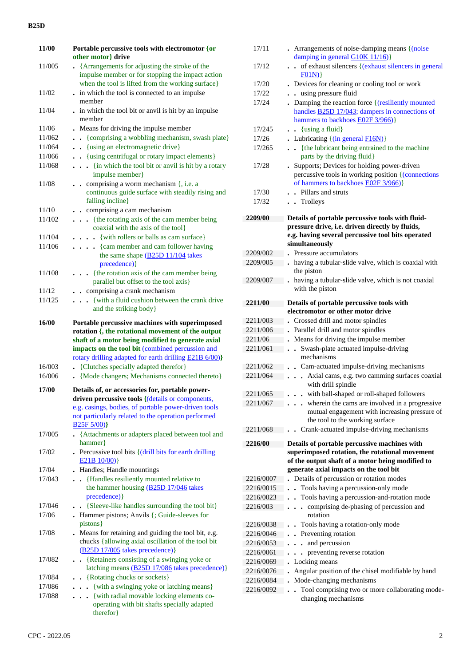#### **B25D**

| 11/00            | Portable percussive tools with electromotor {or                                                                                                                                                                                                                        |
|------------------|------------------------------------------------------------------------------------------------------------------------------------------------------------------------------------------------------------------------------------------------------------------------|
|                  | other motor} drive                                                                                                                                                                                                                                                     |
| 11/005           | {Arrangements for adjusting the stroke of the<br>impulse member or for stopping the impact action<br>when the tool is lifted from the working surface}                                                                                                                 |
| 11/02            | . in which the tool is connected to an impulse<br>member                                                                                                                                                                                                               |
| 11/04            | . in which the tool bit or anvil is hit by an impulse<br>member                                                                                                                                                                                                        |
|                  |                                                                                                                                                                                                                                                                        |
| 11/06            | Means for driving the impulse member<br>{comprising a wobbling mechanism, swash plate}                                                                                                                                                                                 |
| 11/062<br>11/064 | {using an electromagnetic drive}<br>$\ddot{\phantom{0}}$                                                                                                                                                                                                               |
| 11/066           | . {using centrifugal or rotary impact elements}                                                                                                                                                                                                                        |
| 11/068           | {in which the tool bit or anvil is hit by a rotary<br>impulse member}                                                                                                                                                                                                  |
| 11/08            | comprising a worm mechanism {, i.e. a<br>$\sim$<br>continuous guide surface with steadily rising and<br>falling incline}                                                                                                                                               |
| 11/10            | • comprising a cam mechanism                                                                                                                                                                                                                                           |
| 11/102           | {the rotating axis of the cam member being<br>coaxial with the axis of the tool}                                                                                                                                                                                       |
| 11/104           | {with rollers or balls as cam surface}                                                                                                                                                                                                                                 |
| 11/106           | . {cam member and cam follower having<br>the same shape $(B25D 11/104)$ takes<br>precedence) }                                                                                                                                                                         |
| 11/108           | {the rotation axis of the cam member being                                                                                                                                                                                                                             |
|                  | parallel but offset to the tool axis}                                                                                                                                                                                                                                  |
| 11/12            | . . comprising a crank mechanism                                                                                                                                                                                                                                       |
| 11/125           | { with a fluid cushion between the crank drive<br>$\sim$ $\sim$<br>and the striking body}                                                                                                                                                                              |
| 16/00            | Portable percussive machines with superimposed<br>rotation {, the rotational movement of the output<br>shaft of a motor being modified to generate axial<br>impacts on the tool bit (combined percussion and<br>rotary drilling adapted for earth drilling E21B 6/00)} |
| 16/003           | • {Clutches specially adapted therefor}                                                                                                                                                                                                                                |
| 16/006           | • {Mode changers; Mechanisms connected thereto}                                                                                                                                                                                                                        |
|                  |                                                                                                                                                                                                                                                                        |
| 17/00            | Details of, or accessories for, portable power-<br>driven percussive tools { (details or components,<br>e.g. casings, bodies, of portable power-driven tools<br>not particularly related to the operation performed<br>B <sub>25</sub> F <sub>5</sub> /00 <sup>}</sup> |
| 17/005           | • {Attachments or adapters placed between tool and<br>hammer}                                                                                                                                                                                                          |
| 17/02            | . Percussive tool bits { (drill bits for earth drilling<br>$E21B 10/00$ }                                                                                                                                                                                              |
| 17/04            | Handles; Handle mountings                                                                                                                                                                                                                                              |
| 17/043           | {Handles resiliently mounted relative to<br>$\sim$<br>the hammer housing (B25D 17/046 takes<br>precedence) }                                                                                                                                                           |
| 17/046           | {Sleeve-like handles surrounding the tool bit}                                                                                                                                                                                                                         |
| 17/06            | Hammer pistons; Anvils {; Guide-sleeves for<br>pistons }                                                                                                                                                                                                               |
| 17/08            | . Means for retaining and guiding the tool bit, e.g.<br>chucks {allowing axial oscillation of the tool bit<br>$(B25D 17/005$ takes precedence)}                                                                                                                        |
| 17/082           | {Retainers consisting of a swinging yoke or<br>$\bullet$<br>latching means (B25D 17/086 takes precedence)}                                                                                                                                                             |
| 17/084           | • {Rotating chucks or sockets}                                                                                                                                                                                                                                         |
| 17/086           | {with a swinging yoke or latching means}                                                                                                                                                                                                                               |
| 17/088           | {with radial movable locking elements co-<br>operating with bit shafts specially adapted<br>therefor }                                                                                                                                                                 |

| 17/11               | • Arrangements of noise-damping means $\{ (noise$                                                 |
|---------------------|---------------------------------------------------------------------------------------------------|
|                     | damping in general $G10K11/16$ }                                                                  |
| 17/12               | of exhaust silencers { (exhaust silencers in general<br>$\ddot{\phantom{a}}$<br>F01N)             |
| 17/20               | Devices for cleaning or cooling tool or work                                                      |
| 17/22               | . using pressure fluid                                                                            |
| 17/24               | Damping the reaction force { (resiliently mounted                                                 |
|                     | handles <b>B25D 17/043</b> ; dampers in connections of                                            |
|                     | hammers to backhoes E02F 3/966)}                                                                  |
| 17/245              | $\bullet$ {using a fluid}                                                                         |
| 17/26               | • Lubricating $\{(\text{in general } F16N)\}\$                                                    |
| 17/265              | {the lubricant being entrained to the machine                                                     |
|                     | parts by the driving fluid}                                                                       |
| 17/28               | • Supports; Devices for holding power-driven                                                      |
|                     | percussive tools in working position {(connections)<br>of hammers to backhoes <b>E02F</b> 3/966)} |
| 17/30               | . Pillars and struts                                                                              |
| 17/32               | . Trolleys                                                                                        |
|                     |                                                                                                   |
| 2209/00             | Details of portable percussive tools with fluid-                                                  |
|                     | pressure drive, i.e. driven directly by fluids,                                                   |
|                     | e.g. having several percussive tool bits operated                                                 |
|                     | simultaneously                                                                                    |
| 2209/002            | Pressure accumulators                                                                             |
| 2209/005            | having a tubular-slide valve, which is coaxial with<br>the piston                                 |
| 2209/007            | having a tubular-slide valve, which is not coaxial                                                |
|                     | with the piston                                                                                   |
|                     |                                                                                                   |
| 2211/00             | Details of portable percussive tools with                                                         |
|                     | electromotor or other motor drive                                                                 |
| 2211/003            | Crossed drill and motor spindles                                                                  |
| 2211/006            | Parallel drill and motor spindles                                                                 |
| 2211/06<br>2211/061 | Means for driving the impulse member<br>Swash-plate actuated impulse-driving                      |
|                     | mechanisms                                                                                        |
| 2211/062            | • Cam-actuated impulse-driving mechanisms                                                         |
| 2211/064            | Axial cams, e.g. two camming surfaces coaxial                                                     |
|                     | with drill spindle                                                                                |
| 2211/065            | . with ball-shaped or roll-shaped followers                                                       |
| 2211/067            | . wherein the cams are involved in a progressive                                                  |
|                     | mutual engagement with increasing pressure of                                                     |
|                     | the tool to the working surface                                                                   |
| 2211/068            | Crank-actuated impulse-driving mechanisms                                                         |
| 2216/00             | Details of portable percussive machines with                                                      |
|                     | superimposed rotation, the rotational movement                                                    |
|                     | of the output shaft of a motor being modified to                                                  |
|                     | generate axial impacts on the tool bit                                                            |
| 2216/0007           | Details of percussion or rotation modes                                                           |
| 2216/0015           | Tools having a percussion-only mode<br>$\ddot{\phantom{0}}$                                       |
| 2216/0023           | . Tools having a percussion-and-rotation mode                                                     |
| 2216/003            | comprising de-phasing of percussion and<br>$\ddot{\phantom{a}}$<br>rotation                       |
| 2216/0038           | . Tools having a rotation-only mode                                                               |
| 2216/0046           | Preventing rotation<br>$\bullet$                                                                  |
| 2216/0053           | and percussion                                                                                    |
| 2216/0061           | preventing reverse rotation                                                                       |
| 2216/0069           | Locking means                                                                                     |
| 2216/0076           | Angular position of the chisel modifiable by hand                                                 |
| 2216/0084           | Mode-changing mechanisms                                                                          |
| 2216/0092           | Tool comprising two or more collaborating mode-                                                   |
|                     |                                                                                                   |

changing mechanisms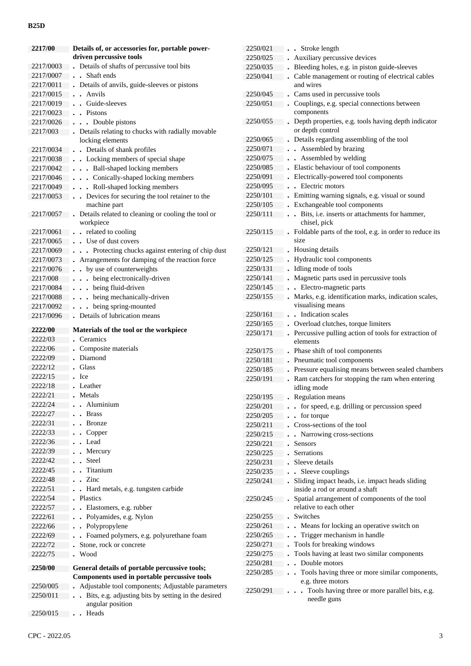#### **B25D**

| 2217/00   | Details of, or accessories for, portable power-      | 2250/021 | . Stroke length                                                             |
|-----------|------------------------------------------------------|----------|-----------------------------------------------------------------------------|
|           | driven percussive tools                              | 2250/025 | Auxiliary percussive devices                                                |
| 2217/0003 | . Details of shafts of percussive tool bits          | 2250/035 | . Bleeding holes, e.g. in piston guide-sleeves                              |
| 2217/0007 | . Shaft ends                                         | 2250/041 | . Cable management or routing of electrical cables                          |
| 2217/0011 | . Details of anvils, guide-sleeves or pistons        |          | and wires                                                                   |
| 2217/0015 | . . Anvils                                           | 2250/045 | . Cams used in percussive tools                                             |
| 2217/0019 | . Guide-sleeves                                      | 2250/051 | Couplings, e.g. special connections between                                 |
| 2217/0023 | $\bullet$ Pistons                                    |          | components                                                                  |
| 2217/0026 | . Double pistons                                     | 2250/055 | Depth properties, e.g. tools having depth indicator                         |
| 2217/003  | • Details relating to chucks with radially movable   |          | or depth control                                                            |
|           | locking elements                                     | 2250/065 | . Details regarding assembling of the tool                                  |
| 2217/0034 | . . Details of shank profiles                        | 2250/071 | . Assembled by brazing                                                      |
| 2217/0038 | . Locking members of special shape                   | 2250/075 | . Assembled by welding                                                      |
| 2217/0042 | Ball-shaped locking members                          | 2250/085 | . Elastic behaviour of tool components                                      |
| 2217/0046 | Conically-shaped locking members                     | 2250/091 | - Electrically-powered tool components                                      |
| 2217/0049 | Roll-shaped locking members                          | 2250/095 | . Electric motors                                                           |
| 2217/0053 | Devices for securing the tool retainer to the        | 2250/101 | . Emitting warning signals, e.g. visual or sound                            |
|           | machine part                                         | 2250/105 | . Exchangeable tool components                                              |
| 2217/0057 | • Details related to cleaning or cooling the tool or | 2250/111 | . Bits, i.e. inserts or attachments for hammer,                             |
|           | workpiece<br>. . related to cooling                  | 2250/115 | chisel, pick<br>. Foldable parts of the tool, e.g. in order to reduce its   |
| 2217/0061 |                                                      |          | size                                                                        |
| 2217/0065 | . . Use of dust covers                               | 2250/121 | . Housing details                                                           |
| 2217/0069 | . Protecting chucks against entering of chip dust    | 2250/125 | Hydraulic tool components                                                   |
| 2217/0073 | • Arrangements for damping of the reaction force     | 2250/131 | . Idling mode of tools                                                      |
| 2217/0076 | . . by use of counterweights                         | 2250/141 | . Magnetic parts used in percussive tools                                   |
| 2217/008  | . being electronically-driven                        | 2250/145 | . . Electro-magnetic parts                                                  |
| 2217/0084 | . being fluid-driven                                 |          |                                                                             |
| 2217/0088 | . being mechanically-driven                          | 2250/155 | . Marks, e.g. identification marks, indication scales,<br>visualising means |
| 2217/0092 | . being spring-mounted                               | 2250/161 | . . Indication scales                                                       |
| 2217/0096 | . Details of lubrication means                       | 2250/165 | . Overload clutches, torque limiters                                        |
| 2222/00   | Materials of the tool or the workpiece               | 2250/171 | . Percussive pulling action of tools for extraction of                      |
| 2222/03   | Ceramics                                             |          | elements                                                                    |
| 2222/06   | Composite materials                                  | 2250/175 | . Phase shift of tool components                                            |
| 2222/09   | Diamond                                              | 2250/181 | • Pneumatic tool components                                                 |
| 2222/12   | Glass                                                | 2250/185 | . Pressure equalising means between sealed chambers                         |
| 2222/15   | Ice                                                  | 2250/191 | . Ram catchers for stopping the ram when entering                           |
| 2222/18   | Leather                                              |          | idling mode                                                                 |
| 2222/21   | • Metals                                             | 2250/195 | . Regulation means                                                          |
| 2222/24   | Aluminium                                            | 2250/201 | for speed, e.g. drilling or percussion speed                                |
| 2222/27   | <b>Brass</b>                                         | 2250/205 | $\cdot$ for torque                                                          |
| 2222/31   | <b>Bronze</b>                                        | 2250/211 | . Cross-sections of the tool                                                |
| 2222/33   | Copper                                               | 2250/215 | . Narrowing cross-sections                                                  |
| 2222/36   | Lead                                                 | 2250/221 | . Sensors                                                                   |
| 2222/39   | Mercury                                              | 2250/225 | Serrations                                                                  |
| 2222/42   | Steel                                                | 2250/231 | . Sleeve details                                                            |
| 2222/45   | Titanium                                             | 2250/235 | . . Sleeve couplings                                                        |
| 2222/48   | Zinc<br>$\ddot{\phantom{a}}$                         | 2250/241 | Sliding impact heads, i.e. impact heads sliding                             |
| 2222/51   | Hard metals, e.g. tungsten carbide                   |          | inside a rod or around a shaft                                              |
| 2222/54   | . Plastics                                           | 2250/245 | Spatial arrangement of components of the tool                               |
| 2222/57   | Elastomers, e.g. rubber                              |          | relative to each other                                                      |
| 2222/61   | Polyamides, e.g. Nylon                               | 2250/255 | . Switches                                                                  |
| 2222/66   | • Polypropylene                                      | 2250/261 | . . Means for locking an operative switch on                                |
| 2222/69   | • Foamed polymers, e.g. polyurethane foam            | 2250/265 | . Trigger mechanism in handle                                               |
| 2222/72   | Stone, rock or concrete                              | 2250/271 | . Tools for breaking windows                                                |
| 2222/75   | Wood                                                 | 2250/275 | . Tools having at least two similar components                              |
|           |                                                      | 2250/281 | • Double motors                                                             |
| 2250/00   | General details of portable percussive tools;        | 2250/285 | . Tools having three or more similar components,                            |
|           | Components used in portable percussive tools         |          | e.g. three motors                                                           |
| 2250/005  | Adjustable tool components; Adjustable parameters    | 2250/291 | Tools having three or more parallel bits, e.g.                              |
| 2250/011  | Bits, e.g. adjusting bits by setting in the desired  |          | needle guns                                                                 |
|           | angular position                                     |          |                                                                             |
| 2250/015  | . . Heads                                            |          |                                                                             |